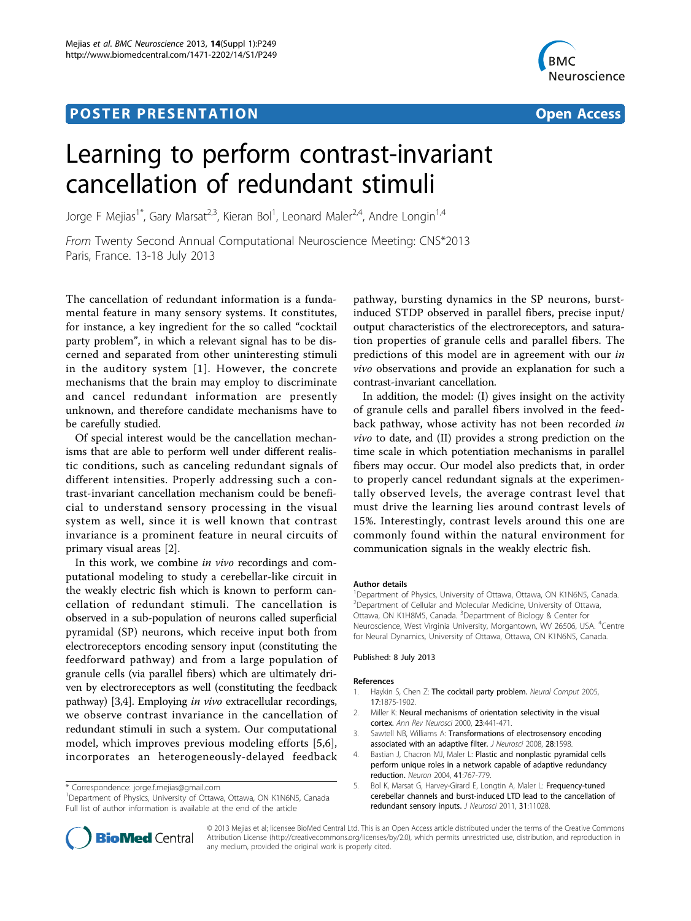## **POSTER PRESENTATION CONSUMING THE SERVICE SERVICE SERVICES**



# Learning to perform contrast-invariant cancellation of redundant stimuli

Jorge F Mejias<sup>1\*</sup>, Gary Marsat<sup>2,3</sup>, Kieran Bol<sup>1</sup>, Leonard Maler<sup>2,4</sup>, Andre Longin<sup>1,4</sup>

From Twenty Second Annual Computational Neuroscience Meeting: CNS\*2013 Paris, France. 13-18 July 2013

The cancellation of redundant information is a fundamental feature in many sensory systems. It constitutes, for instance, a key ingredient for the so called "cocktail party problem", in which a relevant signal has to be discerned and separated from other uninteresting stimuli in the auditory system [1]. However, the concrete mechanisms that the brain may employ to discriminate and cancel redundant information are presently unknown, and therefore candidate mechanisms have to be carefully studied.

Of special interest would be the cancellation mechanisms that are able to perform well under different realistic conditions, such as canceling redundant signals of different intensities. Properly addressing such a contrast-invariant cancellation mechanism could be beneficial to understand sensory processing in the visual system as well, since it is well known that contrast invariance is a prominent feature in neural circuits of primary visual areas [2].

In this work, we combine in vivo recordings and computational modeling to study a cerebellar-like circuit in the weakly electric fish which is known to perform cancellation of redundant stimuli. The cancellation is observed in a sub-population of neurons called superficial pyramidal (SP) neurons, which receive input both from electroreceptors encoding sensory input (constituting the feedforward pathway) and from a large population of granule cells (via parallel fibers) which are ultimately driven by electroreceptors as well (constituting the feedback pathway) [3,4]. Employing in vivo extracellular recordings, we observe contrast invariance in the cancellation of redundant stimuli in such a system. Our computational model, which improves previous modeling efforts [5[,6](#page-1-0)], incorporates an heterogeneously-delayed feedback

\* Correspondence: [jorge.f.mejias@gmail.com](mailto:jorge.f.mejias@gmail.com)

<sup>1</sup>Department of Physics, University of Ottawa, Ottawa, ON K1N6N5, Canada Full list of author information is available at the end of the article

pathway, bursting dynamics in the SP neurons, burstinduced STDP observed in parallel fibers, precise input/ output characteristics of the electroreceptors, and saturation properties of granule cells and parallel fibers. The predictions of this model are in agreement with our in vivo observations and provide an explanation for such a contrast-invariant cancellation.

In addition, the model: (I) gives insight on the activity of granule cells and parallel fibers involved in the feedback pathway, whose activity has not been recorded in vivo to date, and (II) provides a strong prediction on the time scale in which potentiation mechanisms in parallel fibers may occur. Our model also predicts that, in order to properly cancel redundant signals at the experimentally observed levels, the average contrast level that must drive the learning lies around contrast levels of 15%. Interestingly, contrast levels around this one are commonly found within the natural environment for communication signals in the weakly electric fish.

#### Author details

<sup>1</sup>Department of Physics, University of Ottawa, Ottawa, ON K1N6N5, Canada. 2 Department of Cellular and Molecular Medicine, University of Ottawa, Ottawa, ON K1H8M5, Canada. <sup>3</sup>Department of Biology & Center for Neuroscience, West Virginia University, Morgantown, WV 26506, USA. <sup>4</sup>Centre for Neural Dynamics, University of Ottawa, Ottawa, ON K1N6N5, Canada.

Published: 8 July 2013

#### References

- 1. Haykin S, Chen Z: [The cocktail party problem.](http://www.ncbi.nlm.nih.gov/pubmed/15992485?dopt=Abstract) Neural Comput 2005, 17:1875-1902.
- 2. Miller K: [Neural mechanisms of orientation selectivity in the visual](http://www.ncbi.nlm.nih.gov/pubmed/10845071?dopt=Abstract) [cortex.](http://www.ncbi.nlm.nih.gov/pubmed/10845071?dopt=Abstract) Ann Rev Neurosci 2000, 23:441-471.
- 3. Sawtell NB, Williams A: [Transformations of electrosensory encoding](http://www.ncbi.nlm.nih.gov/pubmed/18272681?dopt=Abstract) [associated with an adaptive filter.](http://www.ncbi.nlm.nih.gov/pubmed/18272681?dopt=Abstract) J Neurosci 2008, 28:1598.
- 4. Bastian J, Chacron MJ, Maler L: [Plastic and nonplastic pyramidal cells](http://www.ncbi.nlm.nih.gov/pubmed/15003176?dopt=Abstract) [perform unique roles in a network capable of adaptive redundancy](http://www.ncbi.nlm.nih.gov/pubmed/15003176?dopt=Abstract) [reduction.](http://www.ncbi.nlm.nih.gov/pubmed/15003176?dopt=Abstract) Neuron 2004, 41:767-779.
- 5. Bol K, Marsat G, Harvey-Girard E, Longtin A, Maler L: [Frequency-tuned](http://www.ncbi.nlm.nih.gov/pubmed/21795551?dopt=Abstract) [cerebellar channels and burst-induced LTD lead to the cancellation of](http://www.ncbi.nlm.nih.gov/pubmed/21795551?dopt=Abstract) [redundant sensory inputs.](http://www.ncbi.nlm.nih.gov/pubmed/21795551?dopt=Abstract) J Neurosci 2011, 31:11028.



© 2013 Mejias et al; licensee BioMed Central Ltd. This is an Open Access article distributed under the terms of the Creative Commons Attribution License [\(http://creativecommons.org/licenses/by/2.0](http://creativecommons.org/licenses/by/2.0)), which permits unrestricted use, distribution, and reproduction in any medium, provided the original work is properly cited.